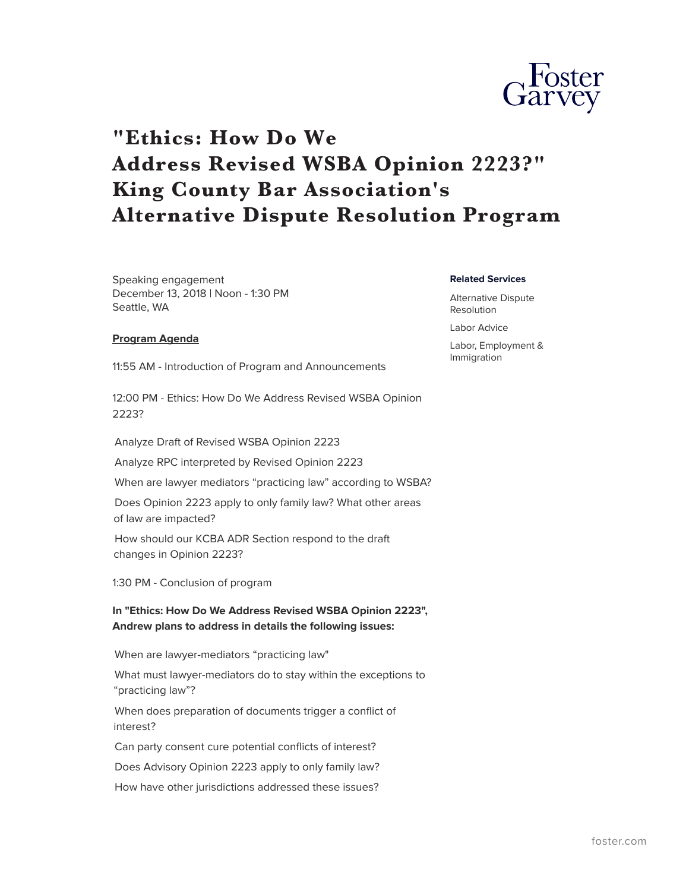

# **"Ethics: How Do We Address Revised WSBA Opinion 2223?" King County Bar Association's Alternative Dispute Resolution Program**

Speaking engagement December 13, 2018 | Noon - 1:30 PM Seattle, WA

**Related Services**

Alternative Dispute Resolution

Labor Advice

Labor, Employment & Immigration

#### **Program Agenda**

11:55 AM - Introduction of Program and Announcements

12:00 PM - Ethics: How Do We Address Revised WSBA Opinion 2223?

Analyze Draft of Revised WSBA Opinion 2223

Analyze RPC interpreted by Revised Opinion 2223

When are lawyer mediators "practicing law" according to WSBA?

Does Opinion 2223 apply to only family law? What other areas of law are impacted?

How should our KCBA ADR Section respond to the draft changes in Opinion 2223?

1:30 PM - Conclusion of program

**In "Ethics: How Do We Address Revised WSBA Opinion 2223", Andrew plans to address in details the following issues:**

When are lawyer-mediators "practicing law"

What must lawyer-mediators do to stay within the exceptions to "practicing law"?

When does preparation of documents trigger a conflict of interest?

Can party consent cure potential conflicts of interest?

Does Advisory Opinion 2223 apply to only family law?

How have other jurisdictions addressed these issues?